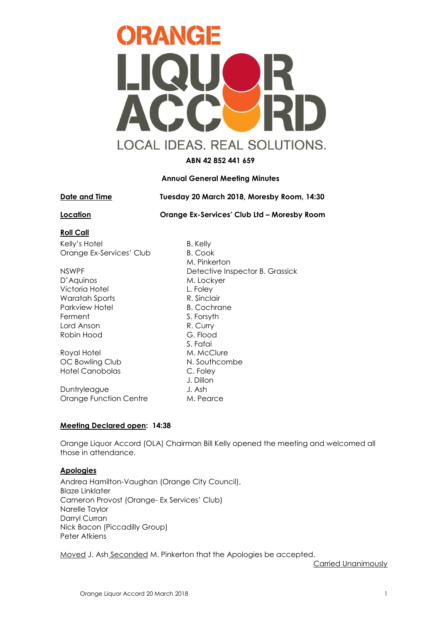

**ABN 42 852 441 659**

## **Annual General Meeting Minutes**

**Date and Time Tuesday 20 March 2018, Moresby Room, 14:30**

**Location Orange Ex-Services' Club Ltd – Moresby Room**

## **Roll Call**

Kelly's Hotel B. Kelly Orange Ex-Services' Club B. Cook

D'Aquinos M. Lockyer Victoria Hotel **L. Foley** Waratah Sports R. Sinclair Parkview Hotel B. Cochrane Ferment S. Forsyth Lord Anson R. Curry Robin Hood G. Flood

Royal Hotel M. McClure OC Bowling Club N. Southcombe Hotel Canobolas C. Foley

Duntryleague J. Ash Orange Function Centre M. Pearce

M. Pinkerton NSWPF Detective Inspector B. Grassick S. Fafai J. Dillon

## **Meeting Declared open: 14:38**

Orange Liquor Accord (OLA) Chairman Bill Kelly opened the meeting and welcomed all those in attendance.

# **Apologies**

Andrea Hamilton-Vaughan (Orange City Council), Blaze Linklater Cameron Provost (Orange- Ex Services' Club) Narelle Taylor Darryl Curran Nick Bacon (Piccadilly Group) Peter Atkiens

Moved J. Ash Seconded M. Pinkerton that the Apologies be accepted.

Carried Unanimously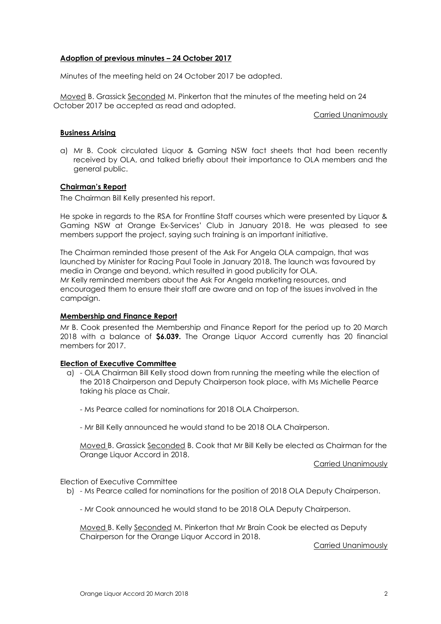## **Adoption of previous minutes – 24 October 2017**

Minutes of the meeting held on 24 October 2017 be adopted.

Moved B. Grassick Seconded M. Pinkerton that the minutes of the meeting held on 24 October 2017 be accepted as read and adopted.

Carried Unanimously

## **Business Arising**

a) Mr B. Cook circulated Liquor & Gaming NSW fact sheets that had been recently received by OLA, and talked briefly about their importance to OLA members and the general public.

## **Chairman's Report**

The Chairman Bill Kelly presented his report.

He spoke in regards to the RSA for Frontline Staff courses which were presented by Liquor & Gaming NSW at Orange Ex-Services' Club in January 2018. He was pleased to see members support the project, saying such training is an important initiative.

The Chairman reminded those present of the Ask For Angela OLA campaign, that was launched by Minister for Racing Paul Toole in January 2018. The launch was favoured by media in Orange and beyond, which resulted in good publicity for OLA. Mr Kelly reminded members about the Ask For Angela marketing resources, and encouraged them to ensure their staff are aware and on top of the issues involved in the campaign.

## **Membership and Finance Report**

Mr B. Cook presented the Membership and Finance Report for the period up to 20 March 2018 with a balance of **\$6.039.** The Orange Liquor Accord currently has 20 financial members for 2017.

## **Election of Executive Committee**

- a) OLA Chairman Bill Kelly stood down from running the meeting while the election of the 2018 Chairperson and Deputy Chairperson took place, with Ms Michelle Pearce taking his place as Chair.
	- Ms Pearce called for nominations for 2018 OLA Chairperson.
	- Mr Bill Kelly announced he would stand to be 2018 OLA Chairperson.

Moved B. Grassick Seconded B. Cook that Mr Bill Kelly be elected as Chairman for the Orange Liquor Accord in 2018.

Carried Unanimously

Election of Executive Committee

b) - Ms Pearce called for nominations for the position of 2018 OLA Deputy Chairperson.

- Mr Cook announced he would stand to be 2018 OLA Deputy Chairperson.

Moved B. Kelly Seconded M. Pinkerton that Mr Brain Cook be elected as Deputy Chairperson for the Orange Liquor Accord in 2018.

Carried Unanimously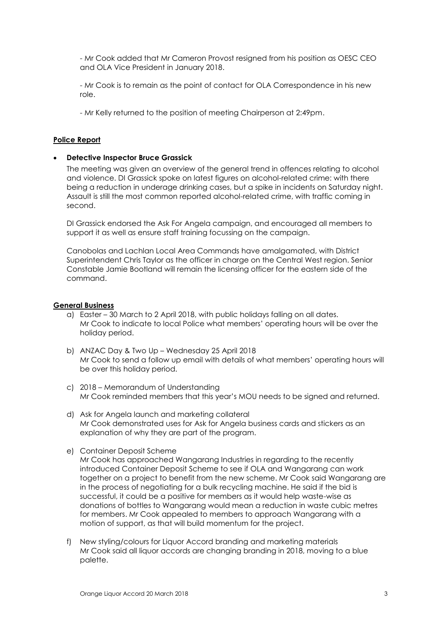- Mr Cook added that Mr Cameron Provost resigned from his position as OESC CEO and OLA Vice President in January 2018.

- Mr Cook is to remain as the point of contact for OLA Correspondence in his new role.

- Mr Kelly returned to the position of meeting Chairperson at 2:49pm.

#### **Police Report**

#### • **Detective Inspector Bruce Grassick**

The meeting was given an overview of the general trend in offences relating to alcohol and violence. DI Grassick spoke on latest figures on alcohol-related crime: with there being a reduction in underage drinking cases, but a spike in incidents on Saturday night. Assault is still the most common reported alcohol-related crime, with traffic coming in second.

DI Grassick endorsed the Ask For Angela campaign, and encouraged all members to support it as well as ensure staff training focussing on the campaign.

Canobolas and Lachlan Local Area Commands have amalgamated, with District Superintendent Chris Taylor as the officer in charge on the Central West region. Senior Constable Jamie Bootland will remain the licensing officer for the eastern side of the command.

#### **General Business**

- a) Easter 30 March to 2 April 2018, with public holidays falling on all dates. Mr Cook to indicate to local Police what members' operating hours will be over the holiday period.
- b) ANZAC Day & Two Up Wednesday 25 April 2018 Mr Cook to send a follow up email with details of what members' operating hours will be over this holiday period.
- c) 2018 Memorandum of Understanding Mr Cook reminded members that this year's MOU needs to be signed and returned.
- d) Ask for Angela launch and marketing collateral Mr Cook demonstrated uses for Ask for Angela business cards and stickers as an explanation of why they are part of the program.
- e) Container Deposit Scheme

Mr Cook has approached Wangarang Industries in regarding to the recently introduced Container Deposit Scheme to see if OLA and Wangarang can work together on a project to benefit from the new scheme. Mr Cook said Wangarang are in the process of negotiating for a bulk recycling machine. He said if the bid is successful, it could be a positive for members as it would help waste-wise as donations of bottles to Wangarang would mean a reduction in waste cubic metres for members. Mr Cook appealed to members to approach Wangarang with a motion of support, as that will build momentum for the project.

f) New styling/colours for Liquor Accord branding and marketing materials Mr Cook said all liquor accords are changing branding in 2018, moving to a blue palette.